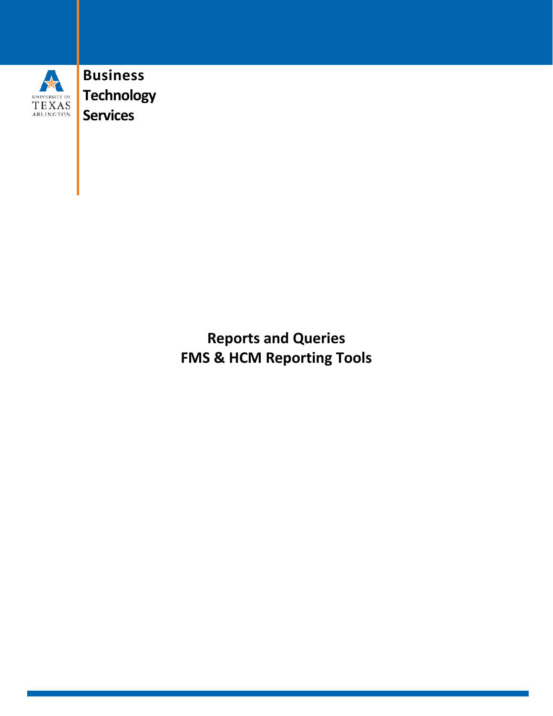

**Business Technology Services**

> **Reports and Queries FMS & HCM Reporting Tools**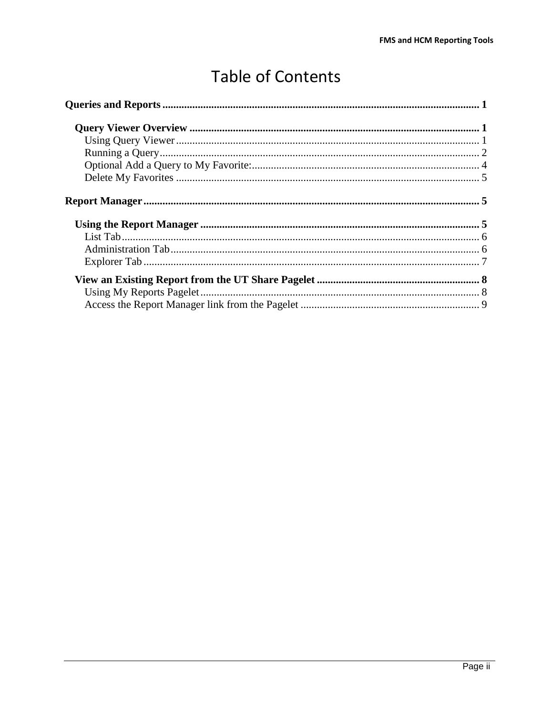# **Table of Contents**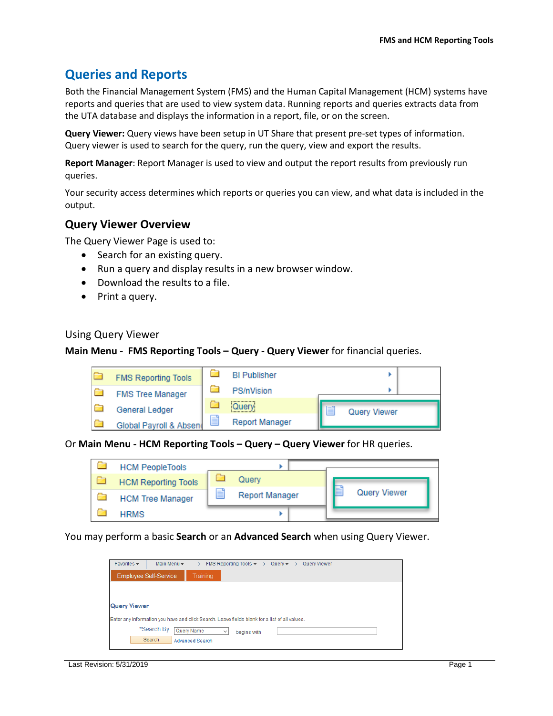# <span id="page-2-0"></span>**Queries and Reports**

Both the Financial Management System (FMS) and the Human Capital Management (HCM) systems have reports and queries that are used to view system data. Running reports and queries extracts data from the UTA database and displays the information in a report, file, or on the screen.

**Query Viewer:** Query views have been setup in UT Share that present pre-set types of information. Query viewer is used to search for the query, run the query, view and export the results.

**Report Manager**: Report Manager is used to view and output the report results from previously run queries.

Your security access determines which reports or queries you can view, and what data is included in the output.

#### <span id="page-2-1"></span>**Query Viewer Overview**

The Query Viewer Page is used to:

- Search for an existing query.
- Run a query and display results in a new browser window.
- Download the results to a file.
- Print a query.

#### <span id="page-2-2"></span>Using Query Viewer

#### **Main Menu - FMS Reporting Tools – Query - Query Viewer** for financial queries.



#### Or **Main Menu - HCM Reporting Tools – Query – Query Viewer** for HR queries.

| <b>HCM PeopleTools</b>     |   |                       |  |                     |  |
|----------------------------|---|-----------------------|--|---------------------|--|
| <b>HCM Reporting Tools</b> |   | Query                 |  |                     |  |
| <b>HCM Tree Manager</b>    | E | <b>Report Manager</b> |  | <b>Query Viewer</b> |  |
| <b>HRMS</b>                |   |                       |  |                     |  |

You may perform a basic **Search** or an **Advanced Search** when using Query Viewer.

| Favorites $\star$   | Main Menu -                  | FMS Reporting Tools $\star \rightarrow$ Query $\star \rightarrow$<br>Query Viewer             |
|---------------------|------------------------------|-----------------------------------------------------------------------------------------------|
|                     | <b>Employee Self-Service</b> | <b>Training</b>                                                                               |
|                     |                              |                                                                                               |
| <b>Query Viewer</b> |                              |                                                                                               |
|                     |                              |                                                                                               |
|                     |                              | Enter any information you have and click Search. Leave fields blank for a list of all values. |
|                     | *Search By                   | Query Name<br>$\checkmark$<br>begins with                                                     |
|                     | Search                       | <b>Advanced Search</b>                                                                        |
|                     |                              |                                                                                               |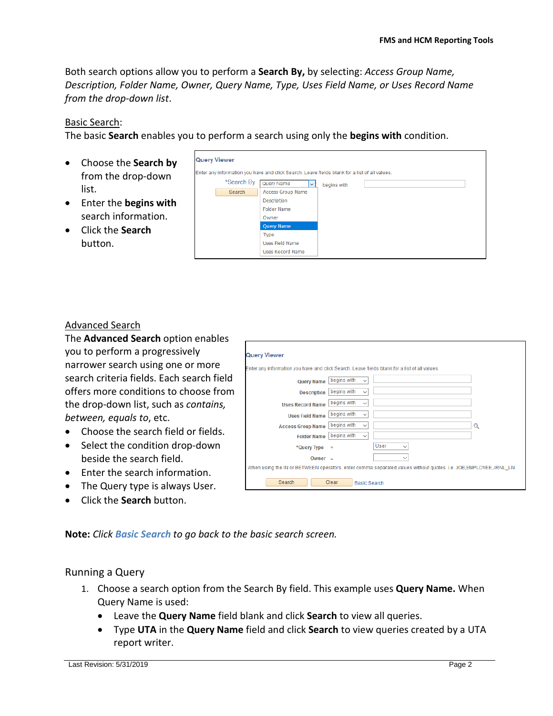Both search options allow you to perform a **Search By,** by selecting: *Access Group Name, Description, Folder Name, Owner, Query Name, Type, Uses Field Name, or Uses Record Name from the drop-down list*.

#### Basic Search:

The basic **Search** enables you to perform a search using only the **begins with** condition.

- Choose the **Search by** from the drop-down list.
- Enter the **begins with** search information.
- Click the **Search**  button.

| <b>Query Viewer</b>  |                                                                                                                                                                                                                      |
|----------------------|----------------------------------------------------------------------------------------------------------------------------------------------------------------------------------------------------------------------|
| *Search By<br>Search | Enter any information you have and click Search. Leave fields blank for a list of all values.<br>Query Name<br>$\checkmark$<br>begins with<br><b>Access Group Name</b><br>Description<br><b>Folder Name</b><br>Owner |
|                      | <b>Query Name</b><br>Type<br><b>Uses Field Name</b><br><b>Uses Record Name</b>                                                                                                                                       |

#### Advanced Search

The **Advanced Search** option enables you to perform a progressively narrower search using one or more search criteria fields. Each search field offers more conditions to choose from the drop-down list, such as *contains, between, equals to*, etc.

- Choose the search field or fields.
- Select the condition drop-down beside the search field.
- Enter the search information.
- The Query type is always User.
- Click the **Search** button.

| Enter any information you have and click Search. Leave fields blank for a list of all values.                   |                             |                      |   |
|-----------------------------------------------------------------------------------------------------------------|-----------------------------|----------------------|---|
| <b>Query Name</b>                                                                                               | begins with<br>$\checkmark$ |                      |   |
| <b>Description</b>                                                                                              | begins with<br>$\checkmark$ |                      |   |
| <b>Uses Record Name</b>                                                                                         | begins with<br>$\checkmark$ |                      |   |
| <b>Uses Field Name</b>                                                                                          | begins with<br>$\checkmark$ |                      |   |
| <b>Access Group Name</b>                                                                                        | begins with<br>$\checkmark$ |                      | Q |
| <b>Folder Name</b>                                                                                              | begins with<br>$\checkmark$ |                      |   |
| *Query Type                                                                                                     | $\equiv$                    | User<br>$\checkmark$ |   |
| Owner $=$                                                                                                       |                             | $\checkmark$         |   |
| When using the IN or BETWEEN operators, enter comma separated values without quotes, i.e. JOB,EMPLOYEE,JRNL_LN. |                             |                      |   |

**Note:** *Click Basic Search to go back to the basic search screen.*

#### <span id="page-3-0"></span>Running a Query

- 1. Choose a search option from the Search By field. This example uses **Query Name.** When Query Name is used:
	- Leave the **Query Name** field blank and click **Search** to view all queries.
	- Type **UTA** in the **Query Name** field and click **Search** to view queries created by a UTA report writer.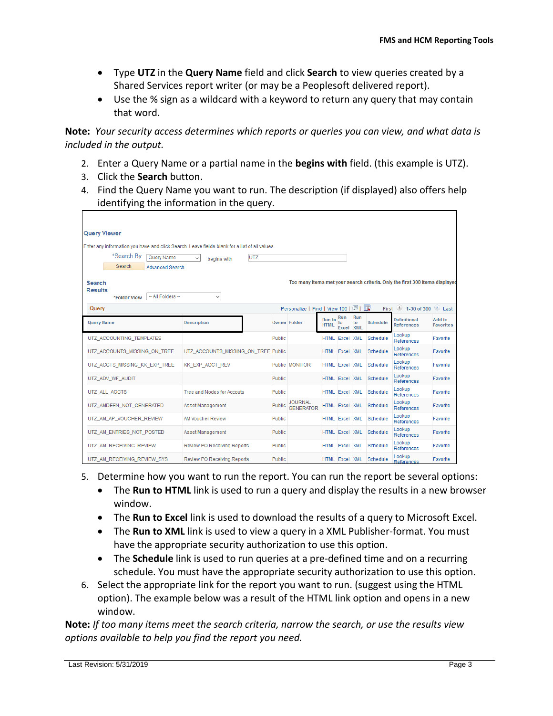- Type **UTZ** in the **Query Name** field and click **Search** to view queries created by a Shared Services report writer (or may be a Peoplesoft delivered report).
- Use the % sign as a wildcard with a keyword to return any query that may contain that word.

**Note:** *Your security access determines which reports or queries you can view, and what data is included in the output.*

- 2. Enter a Query Name or a partial name in the **begins with** field. (this example is UTZ).
- 3. Click the **Search** button.
- 4. Find the Query Name you want to run. The description (if displayed) also offers help identifying the information in the query.

| <b>Query Viewer</b>                                                                           |                                     |               |                                    |                              |                        |           |          |                                                                             |                            |
|-----------------------------------------------------------------------------------------------|-------------------------------------|---------------|------------------------------------|------------------------------|------------------------|-----------|----------|-----------------------------------------------------------------------------|----------------------------|
| Enter any information you have and click Search. Leave fields blank for a list of all values. |                                     |               |                                    |                              |                        |           |          |                                                                             |                            |
| *Search By<br>Query Name                                                                      | UTZ<br>$\checkmark$<br>begins with  |               |                                    |                              |                        |           |          |                                                                             |                            |
| Search<br><b>Advanced Search</b>                                                              |                                     |               |                                    |                              |                        |           |          |                                                                             |                            |
| Search<br><b>Results</b><br>-- All Folders --<br>*Folder View                                 | $\checkmark$                        |               |                                    |                              |                        |           |          | Too many items met your search criteria. Only the first 300 items displayed |                            |
| Query                                                                                         |                                     |               | Personalize   Find   View 100   2  |                              |                        |           | First    | $\bigcirc$ 1-30 of 300 $\bigcirc$ Last                                      |                            |
| Query Name                                                                                    | <b>Description</b>                  |               | <b>Owner Folder</b>                | <b>Run</b> to<br><b>HTML</b> | Run<br>to<br>Excel XML | Run<br>to | Schedule | <b>Definitional</b><br><b>References</b>                                    | Add to<br><b>Favorites</b> |
| UTZ_ACCOUNTING_TEMPLATES                                                                      |                                     | Public        |                                    | <b>HTML Excel XML</b>        |                        |           | Schedule | Lookup<br>References                                                        | Favorite                   |
| UTZ ACCOUNTS MISSING ON TREE                                                                  | UTZ ACCOUNTS MISSING ON TREE Public |               |                                    | <b>HTML</b> Excel XML        |                        |           | Schedule | Lookup<br>References                                                        | Favorite                   |
| UTZ ACCTS MISSING KK EXP TREE                                                                 | KK EXP ACCT REV                     |               | Public MONITOR                     | <b>HTML</b> Excel XML        |                        |           | Schedule | Lookup<br>References                                                        | Favorite                   |
| UTZ ADV WF AUDIT                                                                              |                                     | Public        |                                    | <b>HTML</b> Excel XML        |                        |           | Schedule | Lookup<br>References                                                        | Favorite                   |
| UTZ ALL ACCTS                                                                                 | <b>Tree and Nodes for Accouts</b>   | Public        |                                    | <b>HTML Excel XML</b>        |                        |           | Schedule | Lookup<br>References                                                        | Favorite                   |
| UTZ_AMDEFN_NOT_GENERATED                                                                      | Asset Management                    | Public        | <b>JOURNAL</b><br><b>GENERATOR</b> | <b>HTML Excel XML</b>        |                        |           | Schedule | Lookup<br>References                                                        | Favorite                   |
| UTZ AM AP VOUCHER REVIEW                                                                      | <b>AM Voucher Review</b>            | Public        |                                    | <b>HTML</b>                  | Excel XML              |           | Schedule | Lookup<br>References                                                        | Favorite                   |
| UTZ AM ENTRIES NOT POSTED                                                                     | Asset Management                    | <b>Public</b> |                                    | HTML Excel XML               |                        |           | Schedule | Lookup<br>References                                                        | Favorite                   |
| UTZ AM RECEIVING REVIEW                                                                       | <b>Review PO Receiving Reports</b>  | Public        |                                    | <b>HTML</b> Excel XML        |                        |           | Schedule | Lookup<br>References                                                        | Favorite                   |
| UTZ AM RECEIVING REVIEW SYS                                                                   | <b>Review PO Receiving Reports</b>  | Public        |                                    | <b>HTML Excel XML</b>        |                        |           | Schedule | Lookup<br>References                                                        | Favorite                   |

- 5. Determine how you want to run the report. You can run the report be several options:
	- The **Run to HTML** link is used to run a query and display the results in a new browser window.
	- The **Run to Excel** link is used to download the results of a query to Microsoft Excel.
	- The **Run to XML** link is used to view a query in a XML Publisher-format. You must have the appropriate security authorization to use this option.
	- The **Schedule** link is used to run queries at a pre-defined time and on a recurring schedule. You must have the appropriate security authorization to use this option.
- 6. Select the appropriate link for the report you want to run. (suggest using the HTML option). The example below was a result of the HTML link option and opens in a new window.

**Note:** *If too many items meet the search criteria, narrow the search, or use the results view options available to help you find the report you need.*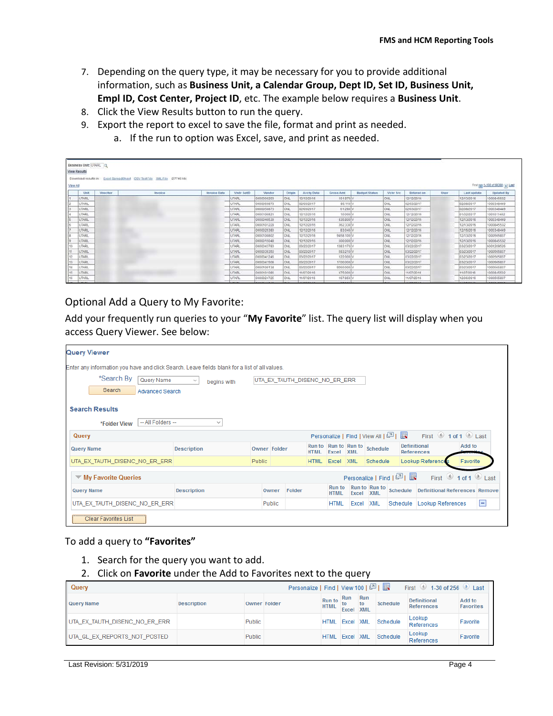- 7. Depending on the query type, it may be necessary for you to provide additional information, such as **Business Unit, a Calendar Group, Dept ID, Set ID, Business Unit, Empl ID, Cost Center, Project ID**, etc. The example below requires a **Business Unit**.
- 8. Click the View Results button to run the query.
- 9. Export the report to excel to save the file, format and print as needed.
	- a. If the run to option was Excel, save, and print as needed.

| View All | Business Unit: UTARL Q<br><b>View Results</b> |         | Download results in: Excel SpreadSheet CSV Text File XML File (27746 kb) |                     |                   |                    |             |                   |                  |                      |                |                     |      |                  | First ggg 1-100 of 66380 (p) Last |
|----------|-----------------------------------------------|---------|--------------------------------------------------------------------------|---------------------|-------------------|--------------------|-------------|-------------------|------------------|----------------------|----------------|---------------------|------|------------------|-----------------------------------|
|          | Unit                                          | Voucher | Invoice                                                                  | <b>Invoice Date</b> | <b>Vndr SettD</b> | Vendor             | Origin      | <b>Acctg Date</b> | <b>Gross Amt</b> | <b>Budget Status</b> | Vchr Src       | <b>Entered on</b>   | User | Last update      | Updated By                        |
|          | UTARL                                         |         |                                                                          |                     | UTARI.            | 0000000203         | lonu        | 12/12/2016        | 101,970          |                      | <b>ONL</b>     | 12/12/2016          |      | 12/13/2016       | 1000845532                        |
|          | UTARL                                         |         |                                                                          |                     | UTARL             | 0000050873         | <b>CNL</b>  | 02/03/2017        | 85.110           |                      | <b>ONL</b>     | 02/03/2017          |      | 02/08/2017       | 1000348449                        |
|          | UTARI.                                        |         |                                                                          |                     | <b>UTARL</b>      | 0000050873         | low         | 02/03/2017        | 61.280           |                      | ONL            | 02/03/2017          |      | 02/08/2017       | 1000348449                        |
|          | UTARL                                         |         |                                                                          |                     | <b>UTARL</b>      | 0000100921         | lora        | 12/12/2016        | 10,000           |                      | <b>ONL</b>     | 12/12/2016          |      | 01/02/2017       | 1001011402                        |
|          | <b>UTARL</b>                                  |         |                                                                          |                     | UTARL.            | 0000040539         | <b>CNL</b>  | 12/12/2016        | 935, 800         |                      | ONL            | 12/12/2016          |      | 12/13/2016       | 1000348449                        |
|          | <b>UTARI</b>                                  |         |                                                                          |                     | UTARL.            | 0000101228         | <b>CNL</b>  | 12/12/2016        | 362 330          |                      | ONL            | 12/12/2016          |      | 12/13/2016       | 1000845532                        |
|          | UTARL                                         |         |                                                                          |                     | <b>UTARL</b>      | 0000025380         | ющ          | 12/12/2016        | 83,040           |                      | <b>ONL</b>     | 12/12/2016          |      | 12/15/2016       | 1000348449                        |
|          | <b>UTARL</b>                                  |         |                                                                          |                     | UTARL             | 0000100802         | <b>Cou</b>  | 12/12/2016        | 9458 100         |                      | CNL            | 12/12/2016          |      | 12/13/2016       | 1000565837                        |
|          | UTARL                                         |         |                                                                          |                     | UTARL             | 0000015048         | <b>Ceu</b>  | 12/12/2016        | 500,000          |                      | <b>DNL</b>     | 12/12/2016          |      | 12/13/2016       | 1000845532                        |
| 10       | <b>STARL</b>                                  |         |                                                                          |                     | <b>UTARI</b>      | 0000043783         | lonu        | 03/22/2017        | 1383 170         |                      | ONL            | 03/22/2017          |      | 03/23/2017       | 6001209526                        |
|          | <b>UTARL</b>                                  |         |                                                                          |                     | UTARL             | 0000039350         | <b>CML</b>  | 03/22/2017        | 593,210          |                      | ONL.           | 03/22/2017          |      | 03/23/2017       | 1000565837                        |
| 12       | <b>UTARL</b>                                  |         |                                                                          |                     | <b>UTARL</b>      | 0000041245         | lonu        | 03/22/2017        | 122 000          |                      | ONL            | 03/22/2017          |      | 03/23/2017       | 1000565837                        |
| 33       | UTARL                                         |         |                                                                          |                     | <b>UTARL</b>      | 0000041508         | <b>Con</b>  | 03/22/2017        | 1700.000         |                      | ONL.           | 03/22/2017          |      | 03/23/2017       | 1000565837                        |
| 14       | <b>UTARL</b>                                  |         |                                                                          |                     | UTARL.            | 0000100134         | ON.         | 03/22/2017        | 9260 000         |                      | CINL           | 03/22/2017          |      | 03/23/2017       | 1000565837                        |
| 15       | <b>UTARL</b>                                  |         |                                                                          |                     | UTARL             | 0000101086         | Існи        | 11/07/2016        | 475,000          |                      | ONL.           | 11/07/2016          |      | 11/07/2016       | 1000845532                        |
| 16       | <b>UTARL</b>                                  |         |                                                                          |                     | <b>UTARL</b>      | 0000024725         | <b>CNL</b>  | 11/07/2016        | 167.850          |                      | ONL            | 11/07/2016          |      | 12/05/2016       | 1000565837                        |
| Law:     | <b>CENTRA</b>                                 |         |                                                                          |                     | <b>ITAM</b>       | <b>DODGO AROUR</b> | <b>COLU</b> | 4435725548        | av anni          |                      | <b>COLLEGE</b> | <b>AKINY PICKET</b> |      | <b>AAWWAYNAA</b> | 400004EE33                        |

#### <span id="page-5-0"></span>Optional Add a Query to My Favorite:

Add your frequently run queries to your "**My Favorite**" list. The query list will display when you access Query Viewer. See below:

| Query Viewer                                                                                  |                    |        |                     |                               |             |                               |            |                             |                                       |                                          |                                   |   |
|-----------------------------------------------------------------------------------------------|--------------------|--------|---------------------|-------------------------------|-------------|-------------------------------|------------|-----------------------------|---------------------------------------|------------------------------------------|-----------------------------------|---|
| Enter any information you have and click Search. Leave fields blank for a list of all values. |                    |        |                     |                               |             |                               |            |                             |                                       |                                          |                                   |   |
| *Search By<br>Query Name                                                                      | ×<br>begins with   |        |                     | UTA EX TAUTH DISENC NO ER ERR |             |                               |            |                             |                                       |                                          |                                   |   |
| Search<br>Advanced Search                                                                     |                    |        |                     |                               |             |                               |            |                             |                                       |                                          |                                   |   |
| <b>Search Results</b>                                                                         |                    |        |                     |                               |             |                               |            |                             |                                       |                                          |                                   |   |
| -- All Folders --<br>*Folder View                                                             | $\checkmark$       |        |                     |                               |             |                               |            |                             |                                       |                                          |                                   |   |
| Query                                                                                         |                    |        |                     |                               |             |                               |            |                             | Personalize   Find   View All   2   표 | First $\bigcirc$ 1 of 1 $\bigcirc$ Last  |                                   |   |
| <b>Query Name</b>                                                                             | <b>Description</b> |        | <b>Owner Folder</b> |                               | <b>HTML</b> | Run to Run to Run to<br>Excel | <b>XML</b> | Schedule                    |                                       | <b>Definitional</b><br><b>References</b> | Add to                            |   |
| UTA_EX_TAUTH_DISENC_NO_ER_ERR                                                                 |                    | Public |                     |                               | <b>HTML</b> | Excel                         | <b>XML</b> | Schedule                    |                                       | Lookup Reference                         | Favorite                          |   |
| $\blacktriangledown$ My Favorite Queries                                                      |                    |        |                     |                               |             |                               |            |                             | Personalize   Find   2                | First                                    | $\bigcirc$ 1 of 1 $\bigcirc$ Last |   |
| <b>Query Name</b>                                                                             | <b>Description</b> |        | Owner               | Folder                        |             | <b>Run to</b><br><b>HTML</b>  | Excel      | Run to Run to<br><b>XML</b> | Schedule                              | <b>Definitional References Remove</b>    |                                   |   |
| UTA EX_TAUTH_DISENC_NO_ER_ERR                                                                 |                    |        | Public              |                               |             | <b>HTML</b>                   | Excel      | <b>XML</b>                  | Schedule                              | Lookup References                        |                                   | Е |
| <b>Clear Favorites List</b>                                                                   |                    |        |                     |                               |             |                               |            |                             |                                       |                                          |                                   |   |

#### To add a query to **"Favorites"**

- 1. Search for the query you want to add.
- 2. Click on **Favorite** under the Add to Favorites next to the query

| Query                         |                    |               |                     |                              |                  | Personalize   Find   View 100   2    <br>First 1-30 of 256 2 Last |          |                                   |                            |  |  |  |  |
|-------------------------------|--------------------|---------------|---------------------|------------------------------|------------------|-------------------------------------------------------------------|----------|-----------------------------------|----------------------------|--|--|--|--|
| <b>Query Name</b>             | <b>Description</b> |               | <b>Owner Folder</b> | <b>Run to</b><br><b>HTML</b> | Run<br>Excel XML | Run<br>to                                                         | Schedule | <b>Definitional</b><br>References | Add to<br><b>Favorites</b> |  |  |  |  |
| UTA EX TAUTH DISENC NO ER ERR |                    | Public        |                     | <b>HTML</b>                  | Excel XML        |                                                                   | Schedule | Lookup<br>References              | Favorite                   |  |  |  |  |
| UTA GL EX REPORTS NOT POSTED  |                    | <b>Public</b> |                     | <b>HTML</b>                  | Excel XML        |                                                                   | Schedule | Lookup<br>References              | Favorite                   |  |  |  |  |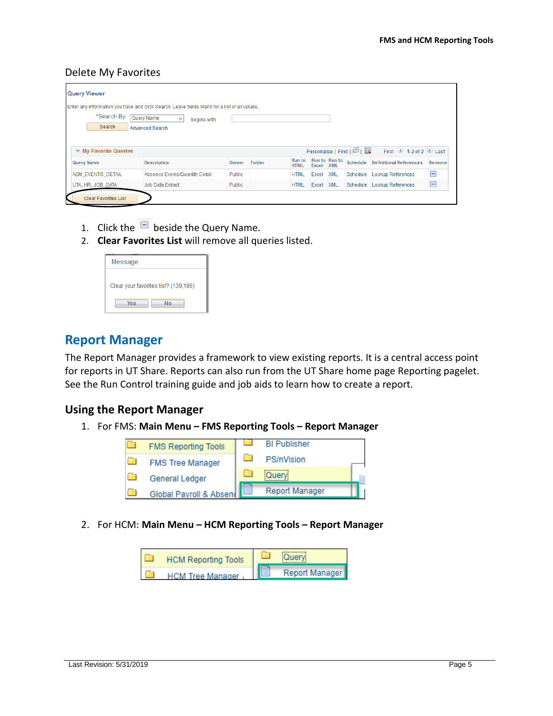#### <span id="page-6-0"></span>Delete My Favorites

| <b>Query Viewer</b>                      |                                                                                               |               |        |                              |       |                             |                        |                                           |        |
|------------------------------------------|-----------------------------------------------------------------------------------------------|---------------|--------|------------------------------|-------|-----------------------------|------------------------|-------------------------------------------|--------|
|                                          | Enter any information you have and click Search. Leave fields blank for a list of all values. |               |        |                              |       |                             |                        |                                           |        |
| *Search By                               | Query Name<br>$\checkmark$<br>begins with                                                     |               |        |                              |       |                             |                        |                                           |        |
| Search                                   | <b>Advanced Search</b>                                                                        |               |        |                              |       |                             |                        |                                           |        |
|                                          |                                                                                               |               |        |                              |       |                             |                        |                                           |        |
| $\blacktriangledown$ My Favorite Queries |                                                                                               |               |        |                              |       |                             | Personalize   Find   2 | First $\bigcirc$ 1-2 of 2 $\bigcirc$ Last |        |
| <b>Query Name</b>                        | <b>Description</b>                                                                            | Owner         | Folder | <b>Run to</b><br><b>HTML</b> | Excel | Run to Run to<br><b>XML</b> | Schedule               | <b>Definitional References</b>            | Remove |
| <b>ABM EVENTS DETAIL</b>                 | Absence Events/Quantity Detail                                                                | <b>Public</b> |        | <b>HTML</b>                  | Excel | <b>XML</b>                  | Schedule               | <b>Lookup References</b>                  | Е      |
| UTA HR JOB DATA                          | Job Data Extract                                                                              | Public        |        | <b>HTML</b>                  | Excel | <b>XML</b>                  | Schedule               | <b>Lookup References</b>                  | E      |
| <b>Clear Favorites List</b>              |                                                                                               |               |        |                              |       |                             |                        |                                           |        |

- 1. Click the  $\overline{\blacksquare}$  beside the Query Name.
- 2. **Clear Favorites List** will remove all queries listed.

| Message                              |
|--------------------------------------|
| Clear your favorites list? (139,186) |
| No<br>Yes                            |

# <span id="page-6-1"></span>**Report Manager**

The Report Manager provides a framework to view existing reports. It is a central access point for reports in UT Share. Reports can also run from the UT Share home page Reporting pagelet. See the Run Control training guide and job aids to learn how to create a report.

#### <span id="page-6-2"></span>**Using the Report Manager**

1. For FMS: **Main Menu – FMS Reporting Tools – Report Manager**



2. For HCM: **Main Menu – HCM Reporting Tools – Report Manager**

| <b>HCM Reporting Tools</b> | <b>Query</b>   |
|----------------------------|----------------|
| <b>HCM Tree Manager</b>    | Report Manager |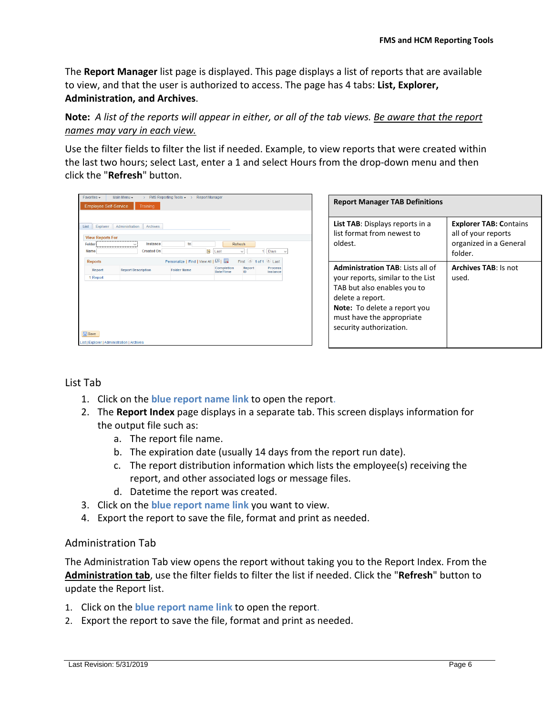The **Report Manager** list page is displayed. This page displays a list of reports that are available to view, and that the user is authorized to access. The page has 4 tabs: **List, Explorer, Administration, and Archives**.

**Note:** *A list of the reports will appear in either, or all of the tab views. Be aware that the report names may vary in each view.*

Use the filter fields to filter the list if needed. Example, to view reports that were created within the last two hours; select Last, enter a 1 and select Hours from the drop-down menu and then click the "**Refresh**" button.

|        | Explorer<br><b>View Reports For</b> | Administration            | Archives          |                    |                                   |                         |              |                     |              |
|--------|-------------------------------------|---------------------------|-------------------|--------------------|-----------------------------------|-------------------------|--------------|---------------------|--------------|
| Folder |                                     | $\checkmark$<br>,,,,,,,,  | Instance          |                    | to                                |                         | Refresh      |                     |              |
| Name   |                                     |                           | <b>Created On</b> |                    | ÞÚ                                | Last                    | $\checkmark$ | 1.<br>Days          | $\checkmark$ |
|        | <b>Reports</b>                      |                           |                   |                    | Personalize   Find   View All   2 |                         |              | First 1 of 1 D Last |              |
|        | Report                              | <b>Report Description</b> |                   | <b>Folder Name</b> |                                   | Completion<br>Date/Time | Report<br>ID | Process<br>Instance |              |
|        | 1 Report                            |                           |                   |                    |                                   |                         |              |                     |              |
|        |                                     |                           |                   |                    |                                   |                         |              |                     |              |

| <b>Report Manager TAB Definitions</b>                                                                                                                                                                                   |                                                                                           |  |  |  |
|-------------------------------------------------------------------------------------------------------------------------------------------------------------------------------------------------------------------------|-------------------------------------------------------------------------------------------|--|--|--|
| <b>List TAB:</b> Displays reports in a<br>list format from newest to<br>oldest.                                                                                                                                         | <b>Explorer TAB: Contains</b><br>all of your reports<br>organized in a General<br>folder. |  |  |  |
| <b>Administration TAB: Lists all of</b><br>your reports, similar to the List<br>TAB but also enables you to<br>delete a report.<br>Note: To delete a report you<br>must have the appropriate<br>security authorization. | Archives TAB: Is not<br>used.                                                             |  |  |  |

<span id="page-7-0"></span>List Tab

- 1. Click on the **blue report name link** to open the report.
- 2. The **Report Index** page displays in a separate tab. This screen displays information for the output file such as:
	- a. The report file name.
	- b. The expiration date (usually 14 days from the report run date).
	- c. The report distribution information which lists the employee(s) receiving the report, and other associated logs or message files.
	- d. Datetime the report was created.
- 3. Click on the **blue report name link** you want to view.
- 4. Export the report to save the file, format and print as needed.

#### <span id="page-7-1"></span>Administration Tab

The Administration Tab view opens the report without taking you to the Report Index. From the **Administration tab**, use the filter fields to filter the list if needed. Click the "**Refresh**" button to update the Report list.

- 1. Click on the **blue report name link** to open the report.
- 2. Export the report to save the file, format and print as needed.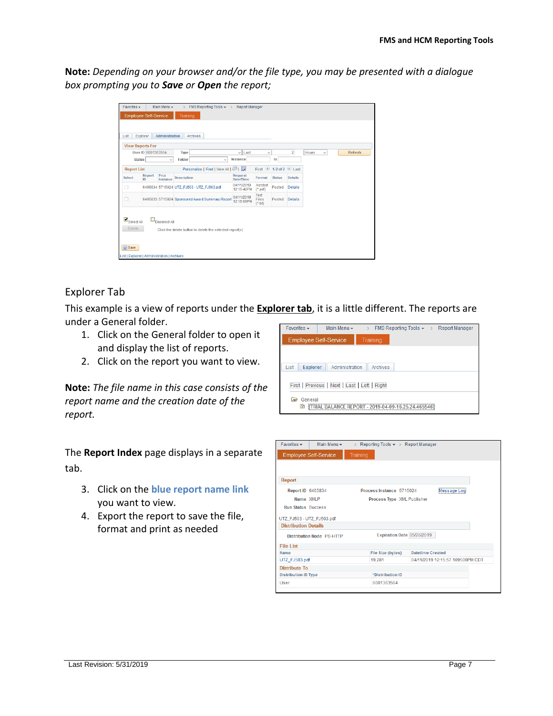**Note:** *Depending on your browser and/or the file type, you may be presented with a dialogue box prompting you to Save or Open the report;*

| Favorites -                                                                                                |                    | Main Menu -      | $\mathcal{P}$      | FMS Reporting Tools = > Report Manager                   |                          |                           |               |                         |                       |         |
|------------------------------------------------------------------------------------------------------------|--------------------|------------------|--------------------|----------------------------------------------------------|--------------------------|---------------------------|---------------|-------------------------|-----------------------|---------|
| <b>Employee Self-Service</b>                                                                               |                    |                  | Training           |                                                          |                          |                           |               |                         |                       |         |
|                                                                                                            |                    |                  |                    |                                                          |                          |                           |               |                         |                       |         |
|                                                                                                            |                    |                  |                    |                                                          |                          |                           |               |                         |                       |         |
| List.                                                                                                      | Explorer           | Administration   |                    | Archives                                                 |                          |                           |               |                         |                       |         |
| <b>View Reports For</b>                                                                                    |                    |                  |                    |                                                          |                          |                           |               |                         |                       |         |
|                                                                                                            | User ID 6001363564 |                  | Type               |                                                          | $\vee$ Last              | $\checkmark$              |               | $\overline{2}$          | Hours<br>$\checkmark$ | Refresh |
| <b>Status</b>                                                                                              |                    | $\checkmark$     | Folder             | $\checkmark$                                             | Instance                 |                           | to            |                         |                       |         |
| <b>Report List</b>                                                                                         |                    |                  |                    | Personalize   Find   View All   2                        |                          | $\circledcirc$<br>First   |               | 1-2 of 2 $\bullet$ Last |                       |         |
| <b>Select</b>                                                                                              | Report<br>ID.      | Prcs<br>Instance | <b>Description</b> |                                                          | Request<br>Date/Time     | Format                    | <b>Status</b> | <b>Details</b>          |                       |         |
| п                                                                                                          |                    |                  |                    | 6465834 5715024 UTZ_FJ503 - UTZ_FJ503.pdf                | 04/11/2019<br>12:15:42PM | Acrobat<br>$(^*$ .pdf)    | Posted        | <b>Details</b>          |                       |         |
| □                                                                                                          |                    |                  |                    | 6465833 5715024 Sponsored Award Summary Report           | 04/11/2019<br>12:15:09PM | Text<br>Files<br>$(*.$ bd | Posted        | <b>Details</b>          |                       |         |
| $\blacksquare$ Select All<br><b>Delete</b><br><b>日</b> Save<br>List   Explorer   Administration   Archives |                    | Deselect All     |                    | Click the delete button to delete the selected report(s) |                          |                           |               |                         |                       |         |

### <span id="page-8-0"></span>Explorer Tab

This example is a view of reports under the **Explorer tab**, it is a little different. The reports are under a General folder.

- 1. Click on the General folder to open it and display the list of reports.
- 2. Click on the report you want to view.

**Note:** *The file name in this case consists of the report name and the creation date of the report.*

The **Report Index** page displays in a separate tab.

- 3. Click on the **blue report name link** you want to view.
- 4. Export the report to save the file, format and print as needed

| $Favorites \rightarrow$ | Main Menu -                         | FMS Reporting Tools $\star \rightarrow$<br>$\geq$ | <b>Report Manager</b> |
|-------------------------|-------------------------------------|---------------------------------------------------|-----------------------|
|                         | <b>Employee Self-Service</b>        | Training                                          |                       |
|                         |                                     |                                                   |                       |
| <b>Explorer</b><br>List | Administration                      | Archives                                          |                       |
|                         | First Previous Next Last Left Right |                                                   |                       |
| General<br>E<br>B       |                                     |                                                   |                       |

| Favorites $\star$<br>Main Menu $\star$                   | > Reporting Tools $\star$ > Report Manager |                                  |
|----------------------------------------------------------|--------------------------------------------|----------------------------------|
| <b>Employee Self-Service</b>                             | <b>Training</b>                            |                                  |
|                                                          |                                            |                                  |
| Report                                                   |                                            |                                  |
| Report ID 6465834                                        | Process Instance 5715024                   | Message Log                      |
| Name XMLP                                                | Process Type XML Publisher                 |                                  |
| <b>Run Status Success</b>                                |                                            |                                  |
| UTZ_FJ503 - UTZ_FJ503.pdf<br><b>Distribution Details</b> |                                            |                                  |
| <b>Distribution Node PS-HTTP</b>                         | Expiration Date 05/26/2019                 |                                  |
| <b>File List</b>                                         |                                            |                                  |
| Name                                                     | File Size (bytes)                          | Datetime Created                 |
| UTZ FJ503.pdf                                            | 19,281                                     | 04/11/2019 12:15:57 109500PM CDT |
| <b>Distribute To</b>                                     |                                            |                                  |
| <b>Distribution ID Type</b>                              | *Distribution ID                           |                                  |
| User                                                     | 6001363564                                 |                                  |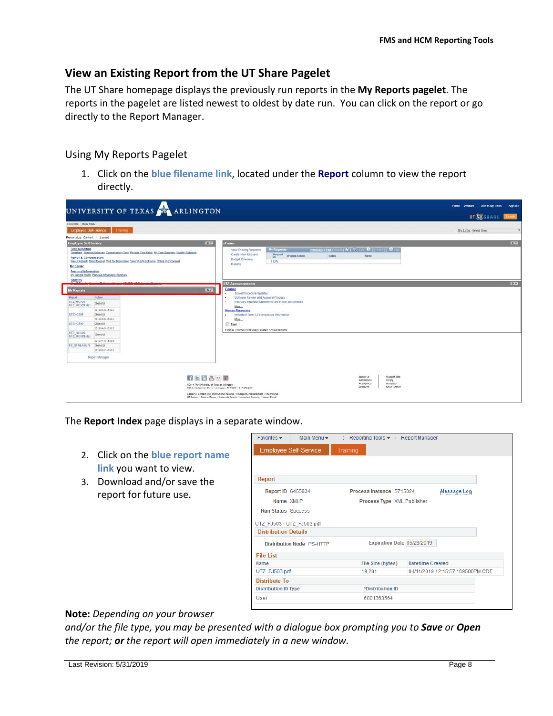## <span id="page-9-0"></span>**View an Existing Report from the UT Share Pagelet**

The UT Share homepage displays the previously run reports in the **My Reports pagelet**. The reports in the pagelet are listed newest to oldest by date run. You can click on the report or go directly to the Report Manager.

#### <span id="page-9-1"></span>Using My Reports Pagelet

1. Click on the **blue filename link**, located under the **Report** column to view the report directly.

| UNIVERSITY OF TEXAS ARLINGTON                                                                                                                                                                                                                                                                                                                                     |                                                                                                                                                                                                                                                                                                                                                    | Home Worklist Add to My Links<br>Sign out<br>UT SESHARE Burn |
|-------------------------------------------------------------------------------------------------------------------------------------------------------------------------------------------------------------------------------------------------------------------------------------------------------------------------------------------------------------------|----------------------------------------------------------------------------------------------------------------------------------------------------------------------------------------------------------------------------------------------------------------------------------------------------------------------------------------------------|--------------------------------------------------------------|
| Fayontes : Main Manu                                                                                                                                                                                                                                                                                                                                              |                                                                                                                                                                                                                                                                                                                                                    |                                                              |
| Traming:<br><b>Employee Self-Service</b>                                                                                                                                                                                                                                                                                                                          |                                                                                                                                                                                                                                                                                                                                                    | My Links Select One:<br>$\tau$                               |
| Personalize: Content   Layout                                                                                                                                                                                                                                                                                                                                     |                                                                                                                                                                                                                                                                                                                                                    |                                                              |
| $0 -$<br><b>Employee Self Service</b>                                                                                                                                                                                                                                                                                                                             | eForms                                                                                                                                                                                                                                                                                                                                             | $Q =$                                                        |
| <b>Time Reporting</b><br>Timesheet Absence Balances, Compensatory Time, Pavable Time Detail, Mx Time Summary, Monthly Schedule<br><b>Payroll &amp; Compensation</b><br>View Pavcheck, Direct Deposit, W-4 Tax Information, View W-2W-2d Forms, Online W-2 Consent<br><b>My Career</b><br>Personal Information<br>My Current Profile, Personal Information Summary | Promoted Deliver at 12 1 % That 8 million 12 3 cm<br><b>My Requests</b><br><b>View Existing Requests</b><br>Create New Regiset<br>Request<br>el crima Action<br>Status<br><b>Name</b><br><b>ID</b><br><b>Budget Overview</b><br>1 URL<br>Reports                                                                                                   |                                                              |
| <b>Benefits</b><br>4 Product 177 PER 177 Puller<br><b>14 100 W</b><br>$-1111 -$                                                                                                                                                                                                                                                                                   | <b>UTA Announcements</b>                                                                                                                                                                                                                                                                                                                           | $0 +$                                                        |
| 0x <br><b>My Reports</b><br>Potder<br>Report<br>UTZ HC509<br>General<br>UTZ HC509.xbx<br>0010-04-00-15:50.2<br>UTZHC509<br>General<br>2010-04-09-15 09:2<br><b>UT2HC509</b><br>General<br>3010-04-00-18:56:5<br>UTZ HC509<br>General<br>UTZ HC509.xtm<br>0010-04-00-15:08:5<br>FS STREAMLN<br>General<br>3010-03-37-16-02-8<br>Report Manager                     | Finance<br><b>Travel Procedure Updates</b><br>Software Review and Approval Process<br>٠<br>February Financial Statements are Ready to Generate<br>٠<br>Mone.<br><b>Human Resources</b><br>Important Form 1-9 Compliance Information<br>٠<br>More<br><b>El Essi</b><br>Finance   Human Resources   System Announcements                             |                                                              |
| 日上面各一面<br>\$2014 The University of Texas at Arlington                                                                                                                                                                                                                                                                                                             | Shudent Life<br>About Us<br>Giving:<br>Admissions<br>Academics<br>Athletics<br>Research<br>News Center<br>701 S. Nedderman Drive . Artington, TX 76019 - 817-272-2011<br>Careers   Contact Us   Institutional Resume   Entergancy Preparadness   Site Policies<br>UT System   State of Texas   Statevide Search   Howeland Security   Report Fraud |                                                              |

The **Report Index** page displays in a separate window.

- 2. Click on the **blue report name link** you want to view.
- 3. Download and/or save the report for future use.

| Favorites $\star$<br>Main Menu $\star$ | > Reporting Tools $\bullet$ > Report Manager |                                  |
|----------------------------------------|----------------------------------------------|----------------------------------|
| <b>Employee Self-Service</b>           | Training                                     |                                  |
|                                        |                                              |                                  |
| <b>Report</b>                          |                                              |                                  |
| <b>Report ID 6465834</b>               | Process Instance 5715024                     | Message Log                      |
| Name XMI P                             | Process Type XML Publisher                   |                                  |
| <b>Run Status Success</b>              |                                              |                                  |
| UTZ FJ503 - UTZ FJ503.pdf              |                                              |                                  |
| <b>Distribution Details</b>            |                                              |                                  |
| <b>Distribution Node PS-HTTP</b>       | Expiration Date 05/26/2019                   |                                  |
| File I ist                             |                                              |                                  |
| <b>Name</b>                            | File Size (bytes)                            | <b>Datetime Created</b>          |
| UTZ FJ503.pdf                          | 19,281                                       | 04/11/2019 12:15:57.109500PM CDT |
| <b>Distribute To</b>                   |                                              |                                  |
| <b>Distribution ID Type</b>            | *Distribution ID                             |                                  |
| User                                   | 6001363564                                   |                                  |

#### **Note:** *Depending on your browser*

*and/or the file type, you may be presented with a dialogue box prompting you to Save or Open the report; or the report will open immediately in a new window.*